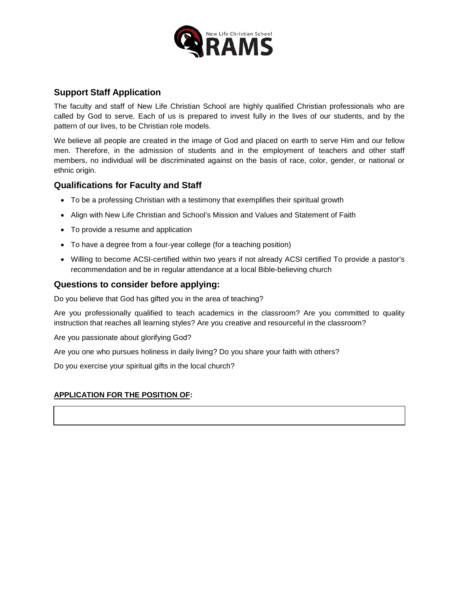

# **Support Staff Application**

The faculty and staff of New Life Christian School are highly qualified Christian professionals who are called by God to serve. Each of us is prepared to invest fully in the lives of our students, and by the pattern of our lives, to be Christian role models.

We believe all people are created in the image of God and placed on earth to serve Him and our fellow men. Therefore, in the admission of students and in the employment of teachers and other staff members, no individual will be discriminated against on the basis of race, color, gender, or national or ethnic origin.

# **Qualifications for Faculty and Staff**

- To be a professing Christian with a testimony that exemplifies their spiritual growth
- Align with New Life Christian and School's Mission and Values and Statement of Faith
- To provide a resume and application
- To have a degree from a four-year college (for a teaching position)
- Willing to become ACSI-certified within two years if not already ACSI certified To provide a pastor's recommendation and be in regular attendance at a local Bible-believing church

# **Questions to consider before applying:**

Do you believe that God has gifted you in the area of teaching?

Are you professionally qualified to teach academics in the classroom? Are you committed to quality instruction that reaches all learning styles? Are you creative and resourceful in the classroom?

Are you passionate about glorifying God?

Are you one who pursues holiness in daily living? Do you share your faith with others?

Do you exercise your spiritual gifts in the local church?

## **APPLICATION FOR THE POSITION OF:**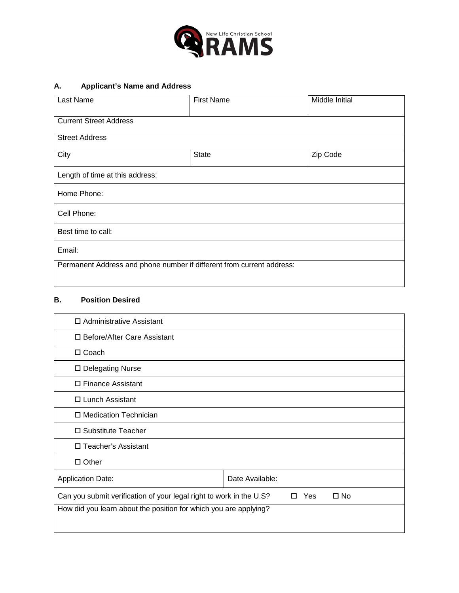

# **A. Applicant's Name and Address**

| Last Name                                                             | <b>First Name</b> | Middle Initial |  |
|-----------------------------------------------------------------------|-------------------|----------------|--|
| <b>Current Street Address</b>                                         |                   |                |  |
| <b>Street Address</b>                                                 |                   |                |  |
| City                                                                  | <b>State</b>      | Zip Code       |  |
| Length of time at this address:                                       |                   |                |  |
| Home Phone:                                                           |                   |                |  |
| Cell Phone:                                                           |                   |                |  |
| Best time to call:                                                    |                   |                |  |
| Email:                                                                |                   |                |  |
| Permanent Address and phone number if different from current address: |                   |                |  |
|                                                                       |                   |                |  |

#### **B. Position Desired**

| $\Box$ Administrative Assistant                                                                 |                 |  |
|-------------------------------------------------------------------------------------------------|-----------------|--|
| □ Before/After Care Assistant                                                                   |                 |  |
| $\Box$ Coach                                                                                    |                 |  |
| □ Delegating Nurse                                                                              |                 |  |
| □ Finance Assistant                                                                             |                 |  |
| $\Box$ Lunch Assistant                                                                          |                 |  |
| □ Medication Technician                                                                         |                 |  |
| □ Substitute Teacher                                                                            |                 |  |
| □ Teacher's Assistant                                                                           |                 |  |
| $\Box$ Other                                                                                    |                 |  |
| <b>Application Date:</b>                                                                        | Date Available: |  |
| Can you submit verification of your legal right to work in the U.S?<br>Yes<br>$\square$ No<br>п |                 |  |
| How did you learn about the position for which you are applying?                                |                 |  |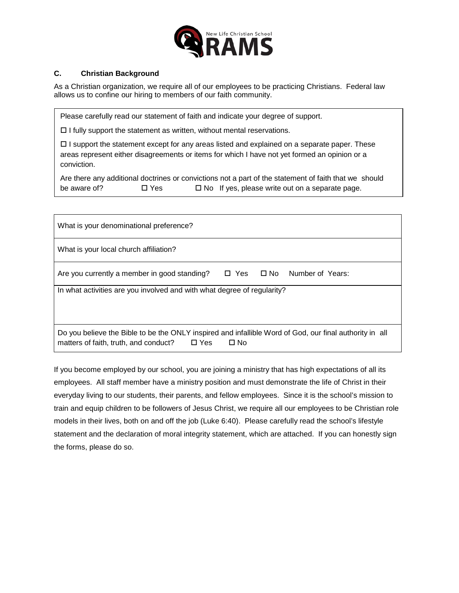

### **C. Christian Background**

As a Christian organization, we require all of our employees to be practicing Christians. Federal law allows us to confine our hiring to members of our faith community.

Please carefully read our statement of faith and indicate your degree of support.

 $\Box$  I fully support the statement as written, without mental reservations.

 $\Box$  I support the statement except for any areas listed and explained on a separate paper. These areas represent either disagreements or items for which I have not yet formed an opinion or a conviction.

Are there any additional doctrines or convictions not a part of the statement of faith that we should be aware of?  $\Box$  Yes  $\Box$  No If yes, please write out on a separate page.

| What is your denominational preference?                                                                                                                                        |  |  |                                       |
|--------------------------------------------------------------------------------------------------------------------------------------------------------------------------------|--|--|---------------------------------------|
| What is your local church affiliation?                                                                                                                                         |  |  |                                       |
| Are you currently a member in good standing?                                                                                                                                   |  |  | $\Box$ Yes $\Box$ No Number of Years: |
| In what activities are you involved and with what degree of regularity?                                                                                                        |  |  |                                       |
|                                                                                                                                                                                |  |  |                                       |
| Do you believe the Bible to be the ONLY inspired and infallible Word of God, our final authority in all<br>matters of faith, truth, and conduct?<br>$\Box$ Yes<br>$\square$ No |  |  |                                       |

If you become employed by our school, you are joining a ministry that has high expectations of all its employees. All staff member have a ministry position and must demonstrate the life of Christ in their everyday living to our students, their parents, and fellow employees. Since it is the school's mission to train and equip children to be followers of Jesus Christ, we require all our employees to be Christian role models in their lives, both on and off the job (Luke 6:40). Please carefully read the school's lifestyle statement and the declaration of moral integrity statement, which are attached. If you can honestly sign the forms, please do so.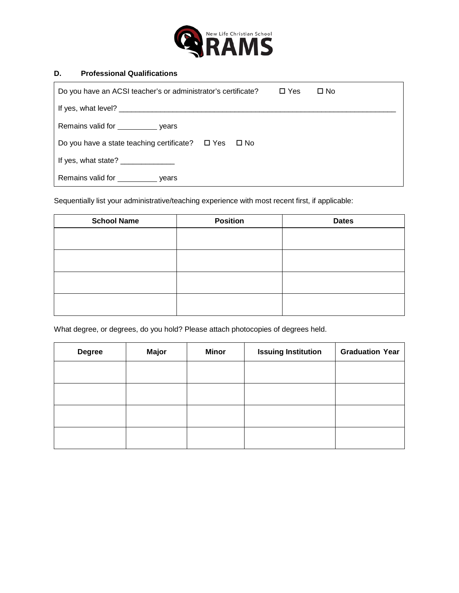

#### **D. Professional Qualifications**

| Do you have an ACSI teacher's or administrator's certificate?<br>$\square$ Yes                                                                                                                                                                                                         | $\Box$ No |
|----------------------------------------------------------------------------------------------------------------------------------------------------------------------------------------------------------------------------------------------------------------------------------------|-----------|
|                                                                                                                                                                                                                                                                                        |           |
| Remains valid for _______________ years                                                                                                                                                                                                                                                |           |
| Do you have a state teaching certificate? $\Box$ Yes $\Box$ No                                                                                                                                                                                                                         |           |
| If yes, what state? $\frac{1}{2}$ [15] $\frac{1}{2}$ [15] $\frac{1}{2}$ [15] $\frac{1}{2}$ [15] $\frac{1}{2}$ [15] $\frac{1}{2}$ [15] $\frac{1}{2}$ [15] $\frac{1}{2}$ [15] $\frac{1}{2}$ [15] $\frac{1}{2}$ [15] $\frac{1}{2}$ [15] $\frac{1}{2}$ [15] $\frac{1}{2}$ [15] $\frac{1}{$ |           |
| Remains valid for<br>vears                                                                                                                                                                                                                                                             |           |

Sequentially list your administrative/teaching experience with most recent first, if applicable:

| <b>School Name</b> | <b>Position</b> | <b>Dates</b> |
|--------------------|-----------------|--------------|
|                    |                 |              |
|                    |                 |              |
|                    |                 |              |
|                    |                 |              |
|                    |                 |              |
|                    |                 |              |

What degree, or degrees, do you hold? Please attach photocopies of degrees held.

| <b>Degree</b> | <b>Major</b> | <b>Minor</b> | <b>Issuing Institution</b> | <b>Graduation Year</b> |
|---------------|--------------|--------------|----------------------------|------------------------|
|               |              |              |                            |                        |
|               |              |              |                            |                        |
|               |              |              |                            |                        |
|               |              |              |                            |                        |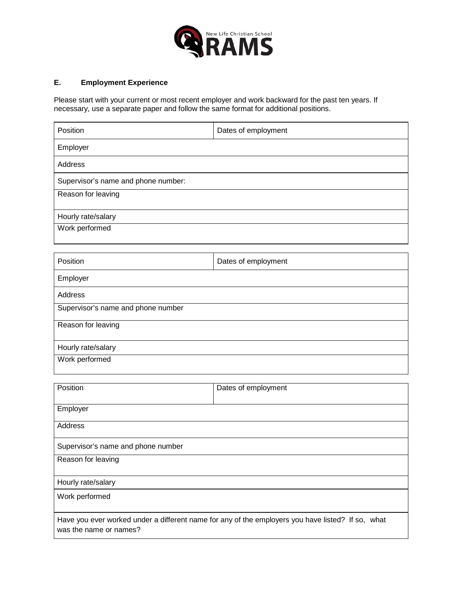

### **E. Employment Experience**

Please start with your current or most recent employer and work backward for the past ten years. If necessary, use a separate paper and follow the same format for additional positions.

| Position                            | Dates of employment |
|-------------------------------------|---------------------|
| Employer                            |                     |
| Address                             |                     |
| Supervisor's name and phone number: |                     |
| Reason for leaving                  |                     |
| Hourly rate/salary                  |                     |
| Work performed                      |                     |

| Position                           | Dates of employment |
|------------------------------------|---------------------|
| Employer                           |                     |
| Address                            |                     |
| Supervisor's name and phone number |                     |
| Reason for leaving                 |                     |
| Hourly rate/salary                 |                     |
| Work performed                     |                     |

| Position                           | Dates of employment                                                                               |
|------------------------------------|---------------------------------------------------------------------------------------------------|
| Employer                           |                                                                                                   |
| Address                            |                                                                                                   |
| Supervisor's name and phone number |                                                                                                   |
| Reason for leaving                 |                                                                                                   |
| Hourly rate/salary                 |                                                                                                   |
| Work performed                     |                                                                                                   |
| was the name or names?             | Have you ever worked under a different name for any of the employers you have listed? If so, what |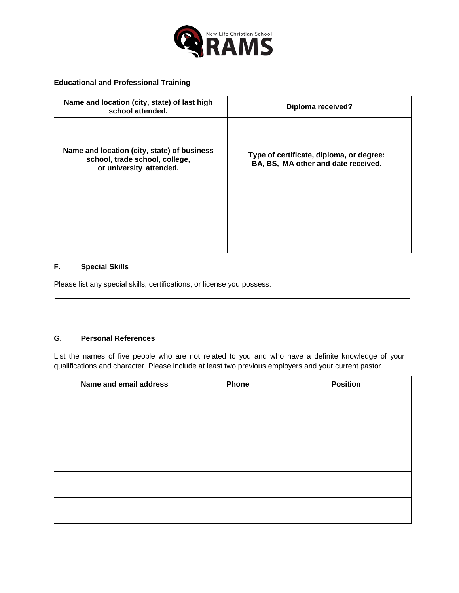

**Educational and Professional Training**

| Name and location (city, state) of last high<br>school attended.                                         | Diploma received?                                                               |
|----------------------------------------------------------------------------------------------------------|---------------------------------------------------------------------------------|
|                                                                                                          |                                                                                 |
| Name and location (city, state) of business<br>school, trade school, college,<br>or university attended. | Type of certificate, diploma, or degree:<br>BA, BS, MA other and date received. |
|                                                                                                          |                                                                                 |
|                                                                                                          |                                                                                 |
|                                                                                                          |                                                                                 |

#### **F. Special Skills**

Please list any special skills, certifications, or license you possess.

#### **G. Personal References**

List the names of five people who are not related to you and who have a definite knowledge of your qualifications and character. Please include at least two previous employers and your current pastor.

| Name and email address | Phone | <b>Position</b> |
|------------------------|-------|-----------------|
|                        |       |                 |
|                        |       |                 |
|                        |       |                 |
|                        |       |                 |
|                        |       |                 |
|                        |       |                 |
|                        |       |                 |
|                        |       |                 |
|                        |       |                 |
|                        |       |                 |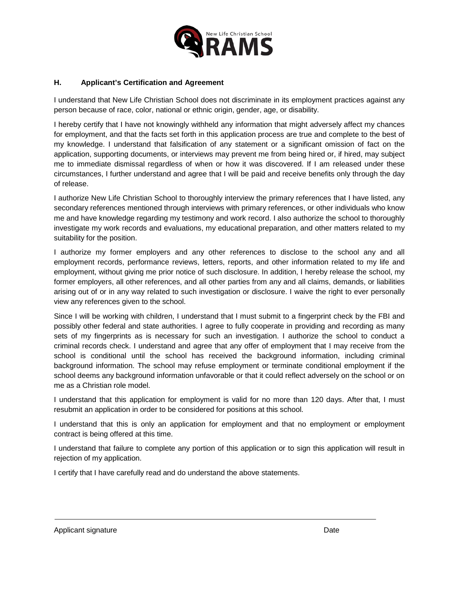

### **H. Applicant's Certification and Agreement**

I understand that New Life Christian School does not discriminate in its employment practices against any person because of race, color, national or ethnic origin, gender, age, or disability.

I hereby certify that I have not knowingly withheld any information that might adversely affect my chances for employment, and that the facts set forth in this application process are true and complete to the best of my knowledge. I understand that falsification of any statement or a significant omission of fact on the application, supporting documents, or interviews may prevent me from being hired or, if hired, may subject me to immediate dismissal regardless of when or how it was discovered. If I am released under these circumstances, I further understand and agree that I will be paid and receive benefits only through the day of release.

I authorize New Life Christian School to thoroughly interview the primary references that I have listed, any secondary references mentioned through interviews with primary references, or other individuals who know me and have knowledge regarding my testimony and work record. I also authorize the school to thoroughly investigate my work records and evaluations, my educational preparation, and other matters related to my suitability for the position.

I authorize my former employers and any other references to disclose to the school any and all employment records, performance reviews, letters, reports, and other information related to my life and employment, without giving me prior notice of such disclosure. In addition, I hereby release the school, my former employers, all other references, and all other parties from any and all claims, demands, or liabilities arising out of or in any way related to such investigation or disclosure. I waive the right to ever personally view any references given to the school.

Since I will be working with children, I understand that I must submit to a fingerprint check by the FBI and possibly other federal and state authorities. I agree to fully cooperate in providing and recording as many sets of my fingerprints as is necessary for such an investigation. I authorize the school to conduct a criminal records check. I understand and agree that any offer of employment that I may receive from the school is conditional until the school has received the background information, including criminal background information. The school may refuse employment or terminate conditional employment if the school deems any background information unfavorable or that it could reflect adversely on the school or on me as a Christian role model.

I understand that this application for employment is valid for no more than 120 days. After that, I must resubmit an application in order to be considered for positions at this school.

I understand that this is only an application for employment and that no employment or employment contract is being offered at this time.

I understand that failure to complete any portion of this application or to sign this application will result in rejection of my application.

I certify that I have carefully read and do understand the above statements.

Applicant signature Date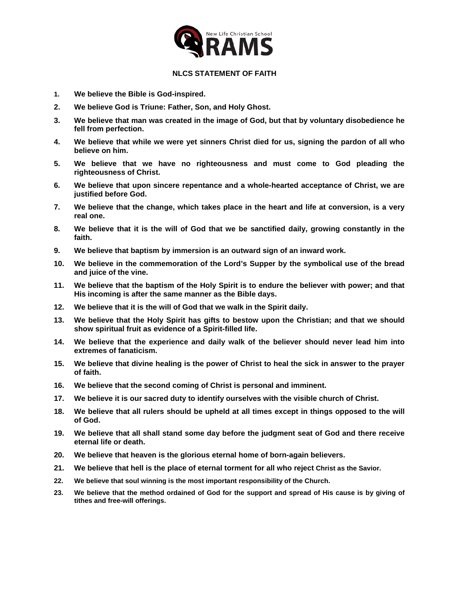

#### **NLCS STATEMENT OF FAITH**

- **1. We believe the Bible is God-inspired.**
- **2. We believe God is Triune: Father, Son, and Holy Ghost.**
- **3. We believe that man was created in the image of God, but that by voluntary disobedience he fell from perfection.**
- **4. We believe that while we were yet sinners Christ died for us, signing the pardon of all who believe on him.**
- **5. We believe that we have no righteousness and must come to God pleading the righteousness of Christ.**
- **6. We believe that upon sincere repentance and a whole-hearted acceptance of Christ, we are justified before God.**
- **7. We believe that the change, which takes place in the heart and life at conversion, is a very real one.**
- **8. We believe that it is the will of God that we be sanctified daily, growing constantly in the faith.**
- **9. We believe that baptism by immersion is an outward sign of an inward work.**
- **10. We believe in the commemoration of the Lord's Supper by the symbolical use of the bread and juice of the vine.**
- **11. We believe that the baptism of the Holy Spirit is to endure the believer with power; and that His incoming is after the same manner as the Bible days.**
- **12. We believe that it is the will of God that we walk in the Spirit daily.**
- **13. We believe that the Holy Spirit has gifts to bestow upon the Christian; and that we should show spiritual fruit as evidence of a Spirit-filled life.**
- **14. We believe that the experience and daily walk of the believer should never lead him into extremes of fanaticism.**
- **15. We believe that divine healing is the power of Christ to heal the sick in answer to the prayer of faith.**
- **16. We believe that the second coming of Christ is personal and imminent.**
- **17. We believe it is our sacred duty to identify ourselves with the visible church of Christ.**
- **18. We believe that all rulers should be upheld at all times except in things opposed to the will of God.**
- **19. We believe that all shall stand some day before the judgment seat of God and there receive eternal life or death.**
- **20. We believe that heaven is the glorious eternal home of born-again believers.**
- **21. We believe that hell is the place of eternal torment for all who reject Christ as the Savior.**
- **22. We believe that soul winning is the most important responsibility of the Church.**
- **23. We believe that the method ordained of God for the support and spread of His cause is by giving of tithes and free-will offerings.**